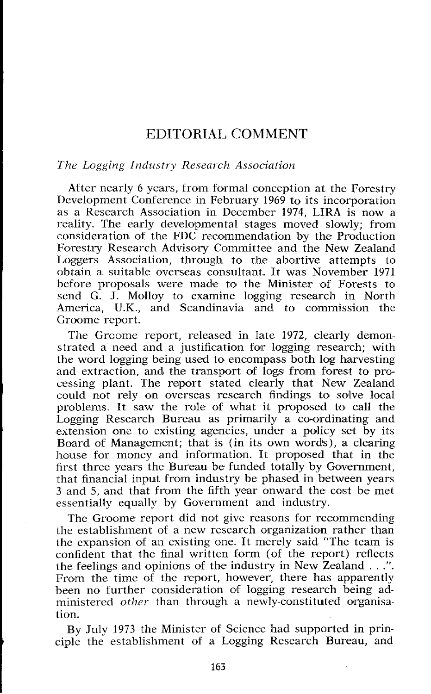# EDITORIAL COMMENT

#### *The Logging Industry Research Association*

After nearly 6 years, from formal conception at the Forestry Development Conference in February 1969 to its incorporation as a Research Association in December 1974, LIRA is now a reality. The early developmental stages moved slowly; from consideration of the FDC recommendation by the Production Forestry Research Advisory Committee and the New Zealand Loggers Association, through to the abortive attempts to obtain a suitable overseas consultant. It was November 1971 before proposals were made to the Minister of Forests to send G. J. Molloy to examine logging research in North America, U.K., and Scandinavia and to commission Groome report.

The Groome report, released in late 1972, clearly demonstrated a need and a justification for logging research; with the word logging being used to encompass both log harvesting and extraction, and the transport of logs from forest to processing plant. The report stated clearly that New Zealand could not rely on overseas research findings to solve local problems. It saw the role of what it proposed to call the Logging Research Bureau as primarily a co-ordinating and extension one to existing agencies, under a policy set by its Board of Management; that is (in its own words), a clearing house for money and information. It proposed that in the first three years the Bureau be funded totally by Government, that financial input from industry be phased in between years 3 and 5, and that from the fifth year onward the cost be met essentially equally by Government and industry.

The Groome report did not give reasons for recommending the establishment of a new research organization rather than the expansion of an existing one. It merely said "The team is confident that the final written form (of the report) reflects the feelings and opinions of the industry in New Zealand . . .". From the time of the report, however, there has apparently been no further consideration of logging research being administered *other* than through a newly-constituted organisation.

By July 1973 the Minister of Science had supported in prin- **1** ciple the establishment of a Logging Research Bureau, and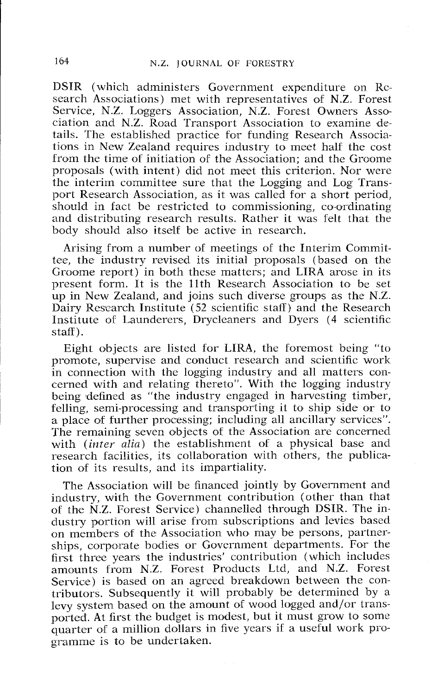DSIR (which administers Government expenditure on Research Associations) met with representatives of N.Z. Forest Service, N.Z. Loggers Association, N.Z. Forest Owners Association and N.Z. Road Transport Association to examine details. The established practice for funding Research Associations in New Zealand requires industry to meet half the cost from the time of initiation of the Association; and the Groome proposals (with intent) did not meet this criterion. Nor were the interim committee sure that the Logging and Log Transport Research Association, as it was called for a short period, should in fact be restricted to commissioning, co-ordinating and distributing research results. Rather it was felt that the body should also itself be active in research.

Arising from a number of meetings of the Interim Committee, thc industry revised its initial proposals (based on the Groome report) in both these matters; and LIRA arose in its present form. It is the 11th Research Association to be set up in New Zealand, and joins such diverse groups as the N.Z. Dairy Rcscarch Institute (52 scientific staff) and the Research Institute of Launderers, Drycleaners and Dyers (4 scientific staff).

Eight objects are listed for LIRA, the foremost being "to promote, supervise and conduct research and scientific work in connection with the logging industry and all matters concerned with and relating thereto". With the logging industry being defined as "the industry engaged in harvesting timber, felling, semi-processing and transporting it to ship side or to a place of further processing; including all ancillary services". The remaining seven objects of the Association are concerned with (inter alia) the establishment of a physical base and research facilities, its collaboration with others, the publication of its results, and its impartiality.

The Association will be financed jointly by Government and industry, with the Government contribution (other than that of the N.Z. Forest Service) channelled through DSIR. The industry portion will arise from subscriptions and levies based on members of the Association who may be persons, partnerships, corporate bodies or Government departments. For the first three years the industries' contribution (which includes amounts from N.Z. Forest Products Ltd, and N.Z. Forest Service) is based on an agreed breakdown between the contributors. Subsequently it will probably be determined by a levy system based on the amount of wood logged and/or transported. At first the budget is modest, but it must grow to some quarter of a million dollars in five years if a useful work programme is to be undertaken.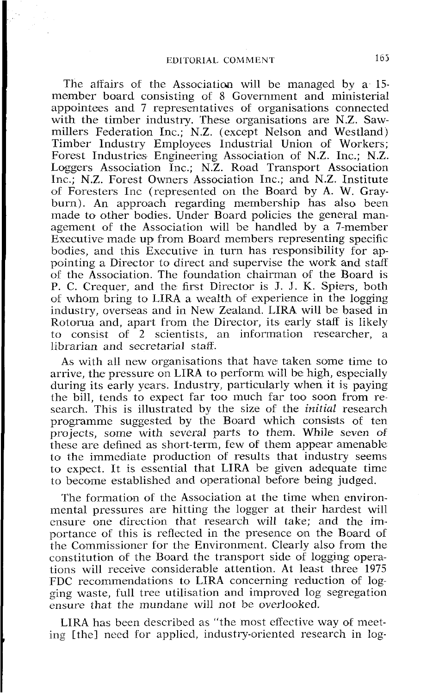The affairs of the Association will be managed by a  $15$ member board consisting of 8 Government and ministerial appointees and 7 representatives of organisations connected with the timber industry. These organisations are N.Z. Sawmillers Federation Inc.; N.Z. (except Nelson and Westland) Timber Industry Employees Industrial Union of Workers; Forest Industries Engineering Association of N.Z. Inc.; N.Z. Loggers Association Inc.; N.Z. Road Transport Association Inc.; N.Z. Forest Owners Association Inc.; and N.Z. Institute of Foresters Inc (represented on the Board by A. W. Grayburn). An approach regarding membership has also been made to other bodies. Under Board policies the general management of the Association will be handled by a 7-member Executive made up from Board members representing specific bodies, and this Executive in turn has responsibility for appointing a Director to direct and supervise the work and staff of the Association. The foundation chairman of the Roard is P. C. Crequer, and the first Director is J. **J.** K. Spiers, both of whom bring to LIRA a wealth of experience in the logging industry, overseas and in New Zealand. LIRA will be based in Rotorua and, apart from the Director, its early staff is likely to consist of 2 scientists, an information researcher, a librarian and secretarial staff.

As with all new organisations that have taken some time to arrive, the pressure on LIRA to perform will be high, especially during its early years. Industry, particularly when it is paying the bill, tends to expect far too much far too soon from research. This is illustrated by the size of the **initial** research programme suggested by the Board which consists of ten projects, some with several parts to them. While seven of thesc are defined as short-term, few of them appear amenable to the immediate production of results that industry seems to expect. It is essential that LIRA be given adequate time to become established and operational before being judged.

The formation of the Association at the time when environmental pressures are hitting the logger at their hardest will cnsure one direclion that research will take; and the importance of this is reflected in the presence on the Board of the Commissioner for the Environment. Clearly also from the constitution of the Board the transport side of logging operations will receive considerable attention. At least three 1975 FDC recommendations to LIRA concerning reduction of logging waste, full tree utilisation and improved log segregation ensure that the mundane will not be overlooked.

LIRA has been described as "the most effective way of meeting [the] need for applicd, industry-oriented research in log-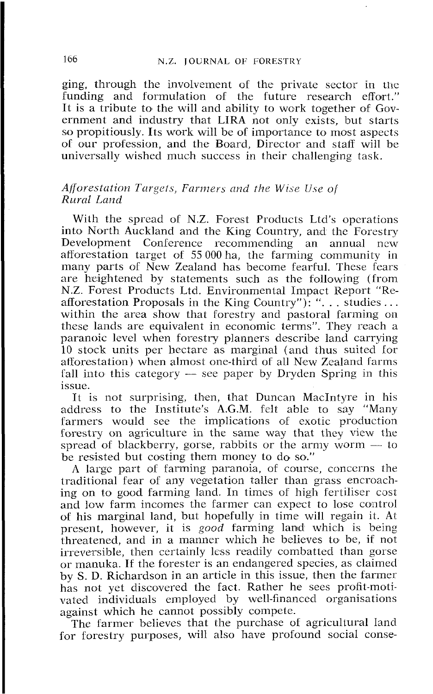ging, through the involvement of the private sector in the funding and formulation of the future research effort." It is a tribute to the will and ability to work together of Government and industry that LIRA not only exists, but starts so propitiously. Its work will be of importance to most aspects of our profession, and the Board, Director and staff will be universally wished much success in their challenging task.

### *Afforestation Targets, Farmers and the Wise Use of Rural Land*

With the spread of N.Z. Forest Products Ltd's operations into North Auckland and the King Country, and the Forestry<br>Development Conference recommending an annual new recommending an annual new afforestation target of 55 000 ha, the farming community in many parts of New Zealand has become fearful. These fears arc heightened by statements such as the following (from N.Z. Forest Products Ltd. Environmental Impact Report "Reafforestation Proposals in the King Country"): "... studies ...<br>within the area show that forestry and pastoral farming on thcse lands are equivalent in economic terms". They reach a paranoic level when forestry planners describe land carrying 10 stock units per hectare as marginal (and thus suited lor afforestation) when almost one-third of all New Zealand farms 10 stock units per hectare as marginal (and thus suited for afforestation) when almost one-third of all New Zealand farms fall into this category — see paper by Dryden Spring in this issue.

It is not surprising, then, that Duncan MacIntyre in his address to the Institute's A.G.M. fclt able to say "Many farmers would see the implications of exotic production forestry on agriculture in the same way that they view the farmers would see the implications of exotic production<br>forestry on agriculture in the same way that they view the<br>spread of blackberry, gorse, rabbits or the army worm — to<br>be recited by costing them monoy to do so." be resisted but costing them money to do so."

A large part of farming paranoia, of course, concerns the traditional fear of any vegetation taller than grass encroaching on to good farming land. In timcs of high fertiliser cost and low farm incomes the farmer can expect to lose control of his marginal land, but hopefully in timc will regain it. At present, however, it is *good* farming land which is being threatened, and in a manner which he believes to be, if not irreversible, then certainly less readily combatted than gorse ~ or manuka. If the forester is an endangered species, as claimed by S. D. Richardson in an article in this issue, then the farmer has not yet discovered the fact. Rather he sees profit-motivated individuals employed by well-financed organisations against which he cannot possibly compete.

The farmer believes that the purchase of agricultural land for forestry purposes, will also have profound social conse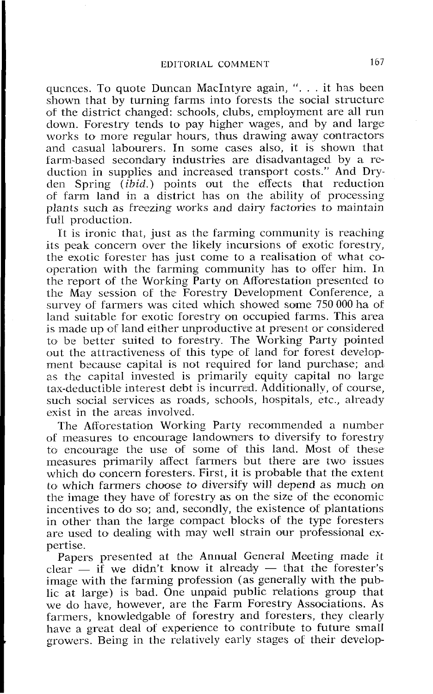qucnces. To quote Duncan MacIntyre again, ". . . it has been shown that by turning farms into forests the social structure of the district changed: schools, clubs, employment are all run down. Forestry tends to pay higher wages, and by and large works to more regular hours, thus drawing away contractors and casual labourers. In some cases also, it is shown that farm-based secondary industries are disadvantaged by a reduction in supplies and increased transport costs." And Dryden Spring (ibid.) points out the effects that reduction of farm land in a district has on the ability of processing plants such as freezing works and dairy factories to maintain full production.

It is ironic that, just as the farming community is reaching its peak concern over the likely incursions of exotic forestry, the exotic forester has just come to a realisation of what cooperation with the farming community has to offer him. In the report of the Working Party on Afforestation presented to the May session of the Forestry Development Conference, a survey of farmers was cited which showed some 750 000 ha of land suitable for exotic forestry on occupied farms. This area is made up of land either unproductive at present or considered to be better suited to forestry. The Working Party pointed out the attractiveness of this type of land for forest development because capital is not required for land purchase; and as the capital invested is primarily equity capital no large tax-deductible interest debt is incurre'd. Additionallv, of course, such social services as roads, schools, hospitals, etc., already exist in the areas involved.

The Afforestation Working Party recommended a number of measures to encourage landowners to diversify to forestry to encourage the use of some of this land. Most of these measures primarily affect farmers but there are two issues which do concern foresters. First, it is probable that the extent to which farmers choose to diversify will depend as much on the image they have of forestry as on the size of the economic incentives to do so; and, secondly, the existence of plantations in other than the large compact blocks of the type foresters are used to dealing with may well strain our professional expertise.

Papers presented at the Annual General Meeting made it  $clear - if we didn't know it already - that the forester's$ image with the farming profession (as generally with the public at large) is bad. One unpaid public relations group that we do have, however, are the Farm Forestry Associations. As farmers, knowledgable of forestry and foresters, they clearly have a great deal of experience to contribute to future small growers. Being in the relatively early stages of their develop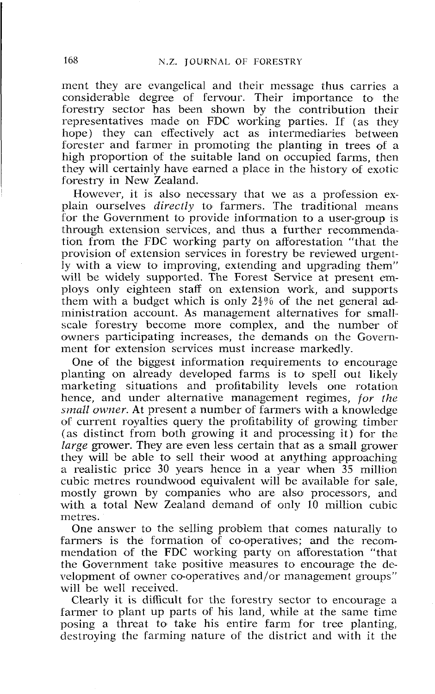ment they are evangelical and their message thus carries a considerable degree of fervour. Their importance to the forestry sector has been shown by the contribution their representatives made on FDC working parties. If (as they hope) they can effectively act as intermediaries between forester and farmer in promoting the planting in trees of a high proportion of the suitable land on occupied farms, then they will certainly have earned a place in the history of exotic forestry in New Zealand.

However, it is also necessary that we as a profession explain ourselves *diveclly* to farmers. The traditional means for the Government to provide information to a user-group is through extension services, and thus a further recommendation from the FDC working party on afforestation "that the provision of extension services in forestry be reviewed urgently with a view to improving, extending and upgrading them" will be widely supported. The Forest Service at present employs only eighteen staff on extension work, and supports them with a budget which is only  $2\frac{1}{2}\%$  of the net general administration account. As management alternatives for smallscale forestry become more complex, and the number of owners participating increases, the demands on the Government for extension services must increase markedly.

One of the biggest information requirements to encouragc planting on already developed farms is to spell out likely marketing situations and profitability levels one rotation hence, and under alternative management regimes, *for the small owner.* At present a number of farmers with a knowledge of current royalties query the profitability of growing timber (as distinct from both growing it and processing it) for the *large* grower. They are even less certain that as a small grower they will be able to sell their wood at anything approaching a realistic price 30 years hence in a year when 35 million cubic metres roundwood equivalent will be available for sale, mostly grown by companies who are also processors, and with a total New Zealand demand of only 10 million cubic metres.

One answer to the selling problem that comes naturally to farmers is the formation of co-operatives; and the recommendation of the FDC working party on afforestation "that the Government take positive measures to encourage the development of owner co-operatives and/or management groups" will be well received.

Clearly it is difficult for the forestry sector to encourage a farmer to plant up parts of his land, while at the same time posing a threat to take his entire farm for tree planting, destroying the farming nature of the district and with it the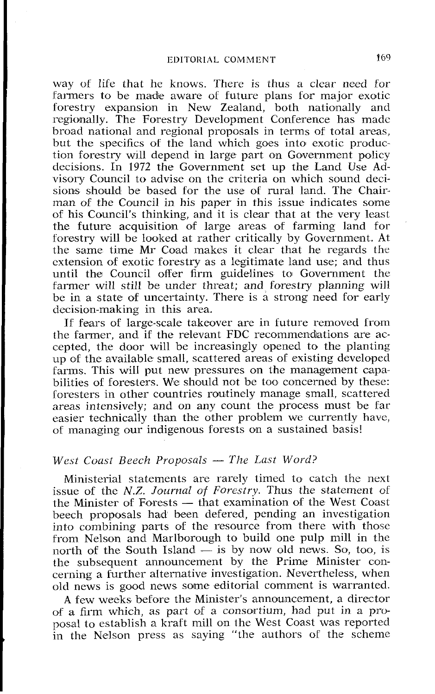way of life that he knows. There is thus a clear need for farmers to be made aware of future plans for major exotic forestry expansion in New Zealand, both nationally and regionally. The Forestry Devclopment Conference has made broad national and regional proposals in terms of total areas, but the specifics of the land which goes into exotic production forestry will depend in large part on Government policy decisions. In 1972 the Government set up the Land Use Advisory Council to advise on the criteria on which sound decisions should be based for the use of rural land. The Chair man of the Council in his paper in this issue indicates some <sup>I</sup>of his Council's thinking, and it is clear that at the very least the future acquisition of large areas of farming land for forestry will be looked at rather critically by Government. At the same time Mr Coad makes it clear that he regards the cxtension of exotic forestry as a legitimate land use; and thus until the Council offer firm guidelines to Government the farmer will still be under threat; and forestry planning will be in a state of uncertainty. There is a strong need for early decision-making in this area.

If fears of large-scale takeover are in future removed from the farmer, and if the relevant FDC recommendations are accepted, the door will be increasingly opened to the planting up of the available small, scattered areas of existing developed farms. This will put new pressures on the management capabilities of foresters. We should not be too concerned by these: foresters in other countries routinely manage small, scattered areas intensively; and on any count the process must be far easier technically than the other problem we currently havc, of managing our indigenous forests on a sustained basis!

## *West Coast Beech Proposals - The Last Word?*

Ministerial statements are rarely timed to catch the next issue of the N.Z. *Journal of Forestry*. Thus the statement of Ministerial statements are rarely timed to catch the next<br>issue of the *N.Z. Journal of Forestry*. Thus the statement of<br>the Minister of Forests — that examination of the West Coast<br>begab proposels hed been defered pending beech proposals had been defered, pending an investigation into combining parts of the resource from there with those from Nelson and Marlborough to build one pulp mill in the into combining parts of the resource from there with those<br>from Nelson and Marlborough to build one pulp mill in the<br>north of the South Island — is by now old news. So, too, is<br>the subsequent appearant by the Prime Minist the subsequent announcement by the Prime Minister concerning a further alternative investigation. Nevertheless, when old news is good news some editorial comment is warranted.

A few weeks before the Minister's announcement, a director of a firm which, as part of a consortium, had put in a proposal to establish a kraft mill on the West Coast was reported in the Nelson press as saying "the authors of the scheme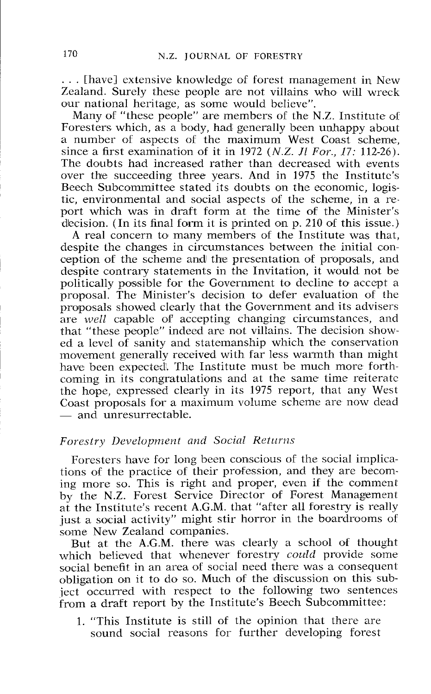. . . *[have] extensive knowledge of forest management in New Zealand. Surely these people are not villains who will wreck our national heritage, as some would believe".* 

Many of "these people" are members of the N.Z. Institute of *Foresters which, as a body, had generally been unhappy about a number of aspects of the maximum West Coast scheme, since a first examination of it in* 1972 *(N.Z. Jl* For., *17: 112-26). The doubts had increased rather than decreased with events over the succeeding three years. And in* 1975 *the Institute's Beech Subcommittee stated its doubts on the economic, logistic, environmental and social aspects of the scheme, in a report which was in draft form at the time of the Minister's*  decision. (In its final form it is printed on p. 210 of this issue.)

*A real concern to many members of the Institute was that, despite the changes in circumstances between the initial conception* of *the scheme anld the presentation of proposals, and despite contrary statements in the Invitation, it would not be politically pos~sible for the Government to decline to accept a proposal. The Minister's decision to defer evaluation of the proposals showed clearly that the Government and its advisers are well capable of accepting changing circumstances, and that "these people" indeed are not villains. The decision showed a level of sanity and statemanship which the conservation movement generally received with far less warmth than might have been expected. The Institute must be much more forthcoming in its congratulations and at the same time reiteratc*  the hope, expressed clearly in its 1975 report, that any West *Caast proposals* for *a maximum volume scheme are now dead*  the hope, expressed clear<br>Coast proposals for a ma<br>— and unresurrectable.

## Forestry Development and Social Returns

Foresters have for long been conscious of the social implica*tions of the practice of their profession, and they are becoming more so. This is right and proper, even if the comment by the N.Z. Forest Service Director of Forest Management at the Institute's recent A.G.M. that "after all forestry is really*  just a social activity" might stir horror in the boardrooms of *some New Zealand companies.* 

But at the A.G.M. there was clearly a school of thought *which believed that whenever forestry could provide some social benefit in an area of social need there was a consequent obligation on it to do so. Much of the discussion on this subject occurred with respect to the following two sentences from a draft report by the Institute's Beech Subcommittee:* 

1. *"This Institute is still of the opinion that there are sound social reasons for further developing forest*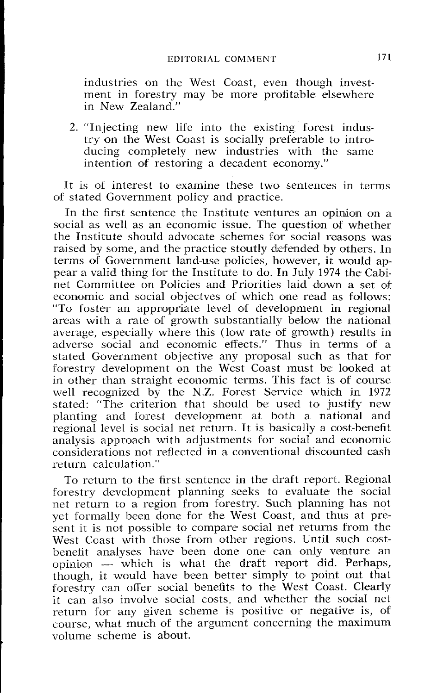industries on the Wcst Coast, even though investment in forestry may be more profitable elsewhere in New Zealand."

2. "Injecting new life into the existing forest industry on the West Coast is socially preferable to introducing completely new industries with the same intention of restoring a decadent economy."

It is of interest to examine these two sentences in terms of stated Government policy and practice.

In the first sentence the Institute ventures an opinion on a social as well as an economic issue. The question of whether the Institute should advocate schemes for social reasons was raised by some, and the practice stoutly defended by others. In terns of Government land-use policies, however, it would appear a valid thing for the Institute to do. In July 1974 the Cabinet Committee on Policies and Priorities laid down a set of economic and social objectves of which one read as follows: "To foster an appropriate level of development in regional areas with a rate of growth substantially below the national average, especially where this (low rate of growth) results in adverse social and economic effects." Thus in terms of a stated Government objective any proposal such as that for forestry development on thc West Coast must be looked at in other than straight economic terms. This fact is of course well recognized by the N.Z. Forest Service which in 1972 stated: "The criterion that should be used to justify new planting and forest development at both a national and regional level is social net return. It is basically a cost-benefit analysis approach with adjustments for social and economic considerations not reflected in a conventional discounted cash return calculation."

To rcturn to thc first sentence in the draft report. Regional forestry development planning seeks to evaluate the social nct return to a region from forestry. Such planning has not yet formally been done for the West Coast, and thus at present it is not possible to compare social net returns from the West Coast with those from other regions. Until such costbenefit analyses have been done one can only venture an opinion - which is what the draft report did. Perhaps, though, it would have been better simply to point out that forestry can offer social benefits to the West Coast. Clearly it can also involve social costs, and whether the social net return for any givcn scheme is positive or negative is, of course, what much of the argument concerning the maximum volume scheme is about.